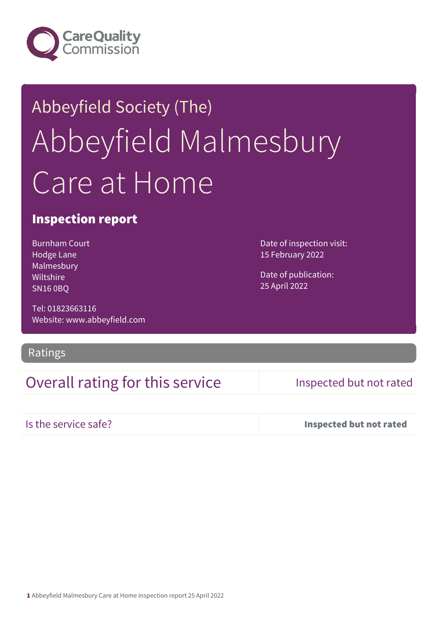

# Abbeyfield Society (The) Abbeyfield Malmesbury Care at Home

#### Inspection report

Burnham Court Hodge Lane Malmesbury Wiltshire SN16 0BQ

Tel: 01823663116 Website: www.abbeyfield.com

#### Ratings

### Overall rating for this service Inspected but not rated

Is the service safe? Inspected but not rated

Date of inspection visit:

15 February 2022

Date of publication: 25 April 2022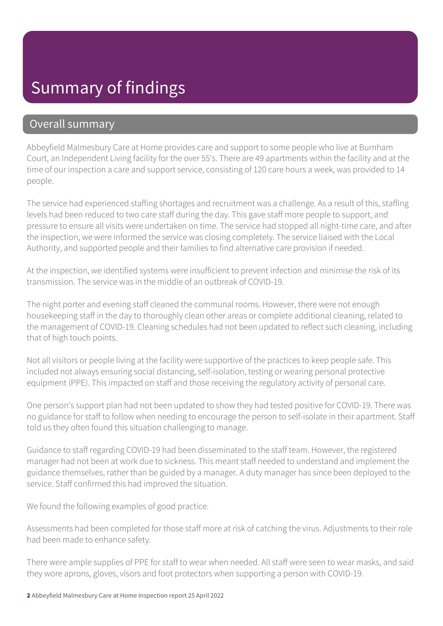# Summary of findings

#### Overall summary

Abbeyfield Malmesbury Care at Home provides care and support to some people who live at Burnham Court, an Independent Living facility for the over 55's. There are 49 apartments within the facility and at the time of our inspection a care and support service, consisting of 120 care hours a week, was provided to 14 people.

The service had experienced staffing shortages and recruitment was a challenge. As a result of this, staffing levels had been reduced to two care staff during the day. This gave staff more people to support, and pressure to ensure all visits were undertaken on time. The service had stopped all night-time care, and after the inspection, we were informed the service was closing completely. The service liaised with the Local Authority, and supported people and their families to find alternative care provision if needed.

At the inspection, we identified systems were insufficient to prevent infection and minimise the risk of its transmission. The service was in the middle of an outbreak of COVID-19.

The night porter and evening staff cleaned the communal rooms. However, there were not enough housekeeping staff in the day to thoroughly clean other areas or complete additional cleaning, related to the management of COVID-19. Cleaning schedules had not been updated to reflect such cleaning, including that of high touch points.

Not all visitors or people living at the facility were supportive of the practices to keep people safe. This included not always ensuring social distancing, self-isolation, testing or wearing personal protective equipment (PPE). This impacted on staff and those receiving the regulatory activity of personal care.

One person's support plan had not been updated to show they had tested positive for COVID-19. There was no guidance for staff to follow when needing to encourage the person to self-isolate in their apartment. Staff told us they often found this situation challenging to manage.

Guidance to staff regarding COVID-19 had been disseminated to the staff team. However, the registered manager had not been at work due to sickness. This meant staff needed to understand and implement the guidance themselves, rather than be guided by a manager. A duty manager has since been deployed to the service. Staff confirmed this had improved the situation.

We found the following examples of good practice.

Assessments had been completed for those staff more at risk of catching the virus. Adjustments to their role had been made to enhance safety.

There were ample supplies of PPE for staff to wear when needed. All staff were seen to wear masks, and said they wore aprons, gloves, visors and foot protectors when supporting a person with COVID-19.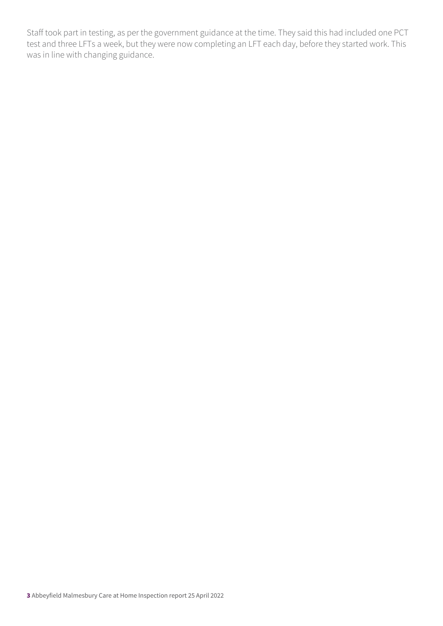Staff took part in testing, as per the government guidance at the time. They said this had included one PCT test and three LFTs a week, but they were now completing an LFT each day, before they started work. This was in line with changing guidance.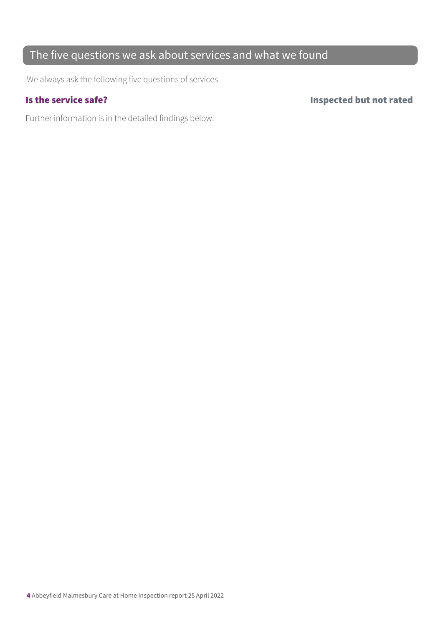### The five questions we ask about services and what we found

We always ask the following five questions of services.

Further information is in the detailed findings below.

Is the service safe? Inspected but not rated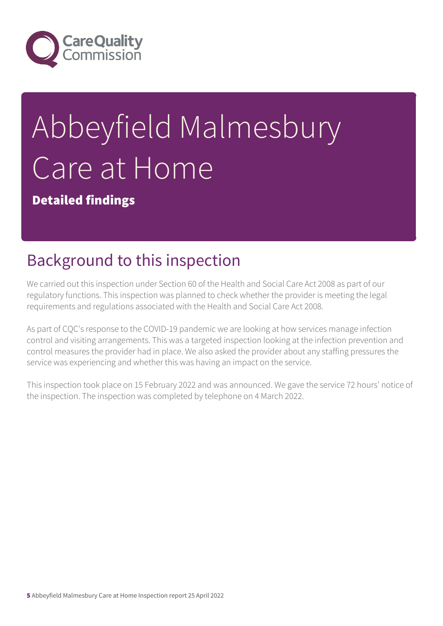

# Abbeyfield Malmesbury Care at Home

Detailed findings

# Background to this inspection

We carried out this inspection under Section 60 of the Health and Social Care Act 2008 as part of our regulatory functions. This inspection was planned to check whether the provider is meeting the legal requirements and regulations associated with the Health and Social Care Act 2008.

As part of CQC's response to the COVID-19 pandemic we are looking at how services manage infection control and visiting arrangements. This was a targeted inspection looking at the infection prevention and control measures the provider had in place. We also asked the provider about any staffing pressures the service was experiencing and whether this was having an impact on the service.

This inspection took place on 15 February 2022 and was announced. We gave the service 72 hours' notice of the inspection. The inspection was completed by telephone on 4 March 2022.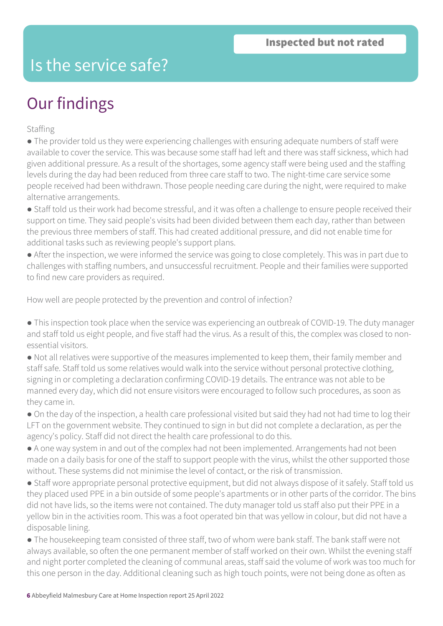## Is the service safe?

# Our findings

Staffing

● The provider told us they were experiencing challenges with ensuring adequate numbers of staff were available to cover the service. This was because some staff had left and there was staff sickness, which had given additional pressure. As a result of the shortages, some agency staff were being used and the staffing levels during the day had been reduced from three care staff to two. The night-time care service some people received had been withdrawn. Those people needing care during the night, were required to make alternative arrangements.

● Staff told us their work had become stressful, and it was often a challenge to ensure people received their support on time. They said people's visits had been divided between them each day, rather than between the previous three members of staff. This had created additional pressure, and did not enable time for additional tasks such as reviewing people's support plans.

● After the inspection, we were informed the service was going to close completely. This was in part due to challenges with staffing numbers, and unsuccessful recruitment. People and their families were supported to find new care providers as required.

How well are people protected by the prevention and control of infection?

• This inspection took place when the service was experiencing an outbreak of COVID-19. The duty manager and staff told us eight people, and five staff had the virus. As a result of this, the complex was closed to nonessential visitors.

● Not all relatives were supportive of the measures implemented to keep them, their family member and staff safe. Staff told us some relatives would walk into the service without personal protective clothing, signing in or completing a declaration confirming COVID-19 details. The entrance was not able to be manned every day, which did not ensure visitors were encouraged to follow such procedures, as soon as they came in.

● On the day of the inspection, a health care professional visited but said they had not had time to log their LFT on the government website. They continued to sign in but did not complete a declaration, as per the agency's policy. Staff did not direct the health care professional to do this.

● A one way system in and out of the complex had not been implemented. Arrangements had not been made on a daily basis for one of the staff to support people with the virus, whilst the other supported those without. These systems did not minimise the level of contact, or the risk of transmission.

● Staff wore appropriate personal protective equipment, but did not always dispose of it safely. Staff told us they placed used PPE in a bin outside of some people's apartments or in other parts of the corridor. The bins did not have lids, so the items were not contained. The duty manager told us staff also put their PPE in a yellow bin in the activities room. This was a foot operated bin that was yellow in colour, but did not have a disposable lining.

● The housekeeping team consisted of three staff, two of whom were bank staff. The bank staff were not always available, so often the one permanent member of staff worked on their own. Whilst the evening staff and night porter completed the cleaning of communal areas, staff said the volume of work was too much for this one person in the day. Additional cleaning such as high touch points, were not being done as often as